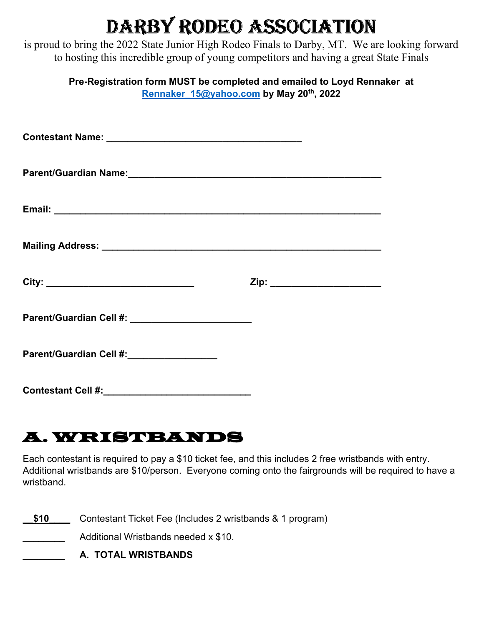# DARBY RODEO ASSOCIATION

is proud to bring the 2022 State Junior High Rodeo Finals to Darby, MT. We are looking forward to hosting this incredible group of young competitors and having a great State Finals

| Pre-Registration form MUST be completed and emailed to Loyd Rennaker at |  |
|-------------------------------------------------------------------------|--|
| Rennaker 15@yahoo.com by May 20 <sup>th</sup> , 2022                    |  |

| Parent/Guardian Name:<br>Manusian State State State State State State State State State State State State State State State State State State State State State State State State State State State State State State State Stat |                               |
|----------------------------------------------------------------------------------------------------------------------------------------------------------------------------------------------------------------------------------|-------------------------------|
|                                                                                                                                                                                                                                  |                               |
|                                                                                                                                                                                                                                  |                               |
|                                                                                                                                                                                                                                  | Zip: ________________________ |
| Parent/Guardian Cell #: ________________________                                                                                                                                                                                 |                               |
| Parent/Guardian Cell #: __________________                                                                                                                                                                                       |                               |
|                                                                                                                                                                                                                                  |                               |

### A. WRISTBANDS

Each contestant is required to pay a \$10 ticket fee, and this includes 2 free wristbands with entry. Additional wristbands are \$10/person. Everyone coming onto the fairgrounds will be required to have a wristband.

\$10 Contestant Ticket Fee (Includes 2 wristbands & 1 program)

Additional Wristbands needed x \$10.

**\_\_\_\_\_\_\_\_ A. TOTAL WRISTBANDS**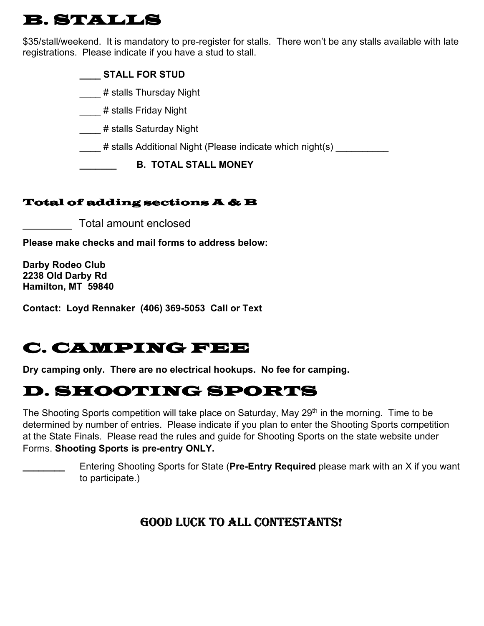### B. STALLS

\$35/stall/weekend. It is mandatory to pre-register for stalls. There won't be any stalls available with late registrations. Please indicate if you have a stud to stall.

#### **\_\_\_\_ STALL FOR STUD**

\_\_\_\_ # stalls Thursday Night

\_\_\_\_# stalls Friday Night

\_\_\_\_ # stalls Saturday Night

# stalls Additional Night (Please indicate which night(s)  $\,$ 

**\_\_\_\_\_\_\_ B. TOTAL STALL MONEY** 

#### Total of adding sections A & B

\_\_\_\_\_\_\_ Total amount enclosed

**Please make checks and mail forms to address below:**

**Darby Rodeo Club 2238 Old Darby Rd Hamilton, MT 59840** 

**Contact: Loyd Rennaker (406) 369-5053 Call or Text** 

### C. CAMPING FEE

**Dry camping only. There are no electrical hookups. No fee for camping.** 

### D. SHOOTING SPORTS

The Shooting Sports competition will take place on Saturday, May 29<sup>th</sup> in the morning. Time to be determined by number of entries. Please indicate if you plan to enter the Shooting Sports competition at the State Finals. Please read the rules and guide for Shooting Sports on the state website under Forms. **Shooting Sports is pre-entry ONLY.**

> *\_\_\_\_\_\_\_\_* Entering Shooting Sports for State (**Pre-Entry Required** please mark with an X if you want to participate.)

### GOOD LUCK TO ALL CONTESTANTS! GOOD